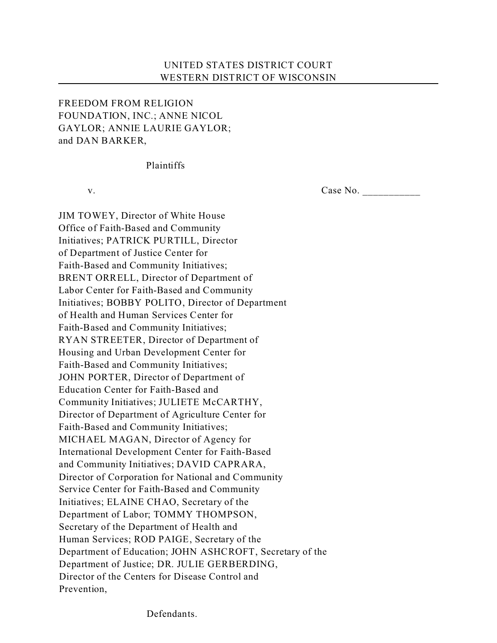## UNITED STATES DISTRICT COURT WESTERN DISTRICT OF WISCONSIN

## FREEDOM FROM RELIGION FOUNDATION, INC.; ANNE NICOL GAYLOR; ANNIE LAURIE GAYLOR; and DAN BARKER,

## Plaintiffs

v. Case No. \_\_\_\_\_\_\_\_\_\_\_

JIM TOWEY, Director of White House Office of Faith-Based and Community Initiatives; PATRICK PURTILL, Director of Department of Justice Center for Faith-Based and Community Initiatives; BRENT ORRELL, Director of Department of Labor Center for Faith-Based and Community Initiatives; BOBBY POLITO, Director of Department of Health and Human Services Center for Faith-Based and Community Initiatives; RYAN STREETER, Director of Department of Housing and Urban Development Center for Faith-Based and Community Initiatives; JOHN PORTER, Director of Department of Education Center for Faith-Based and Community Initiatives; JULIETE McCARTHY, Director of Department of Agriculture Center for Faith-Based and Community Initiatives; MICHAEL MAGAN, Director of Agency for International Development Center for Faith-Based and Community Initiatives; DAVID CAPRARA, Director of Corporation for National and Community Service Center for Faith-Based and Community Initiatives; ELAINE CHAO, Secretary of the Department of Labor; TOMMY THOMPSON, Secretary of the Department of Health and Human Services; ROD PAIGE, Secretary of the Department of Education; JOHN ASHCROFT, Secretary of the Department of Justice; DR. JULIE GERBERDING, Director of the Centers for Disease Control and Prevention,

Defendants.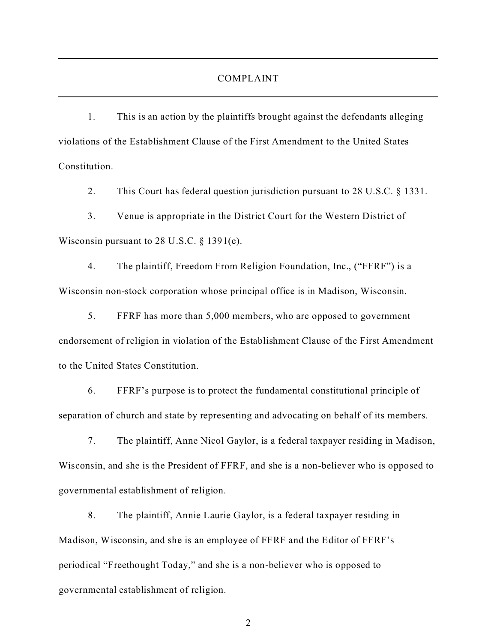## COMPLAINT

1. This is an action by the plaintiffs brought against the defendants alleging violations of the Establishment Clause of the First Amendment to the United States Constitution.

2. This Court has federal question jurisdiction pursuant to 28 U.S.C. § 1331.

3. Venue is appropriate in the District Court for the Western District of Wisconsin pursuant to 28 U.S.C. § 1391(e).

4. The plaintiff, Freedom From Religion Foundation, Inc., ("FFRF") is a Wisconsin non-stock corporation whose principal office is in Madison, Wisconsin.

5. FFRF has more than 5,000 members, who are opposed to government endorsement of religion in violation of the Establishment Clause of the First Amendment to the United States Constitution.

6. FFRF's purpose is to protect the fundamental constitutional principle of separation of church and state by representing and advocating on behalf of its members.

7. The plaintiff, Anne Nicol Gaylor, is a federal taxpayer residing in Madison, Wisconsin, and she is the President of FFRF, and she is a non-believer who is opposed to governmental establishment of religion.

8. The plaintiff, Annie Laurie Gaylor, is a federal taxpayer residing in Madison, Wisconsin, and she is an employee of FFRF and the Editor of FFRF's periodical "Freethought Today," and she is a non-believer who is opposed to governmental establishment of religion.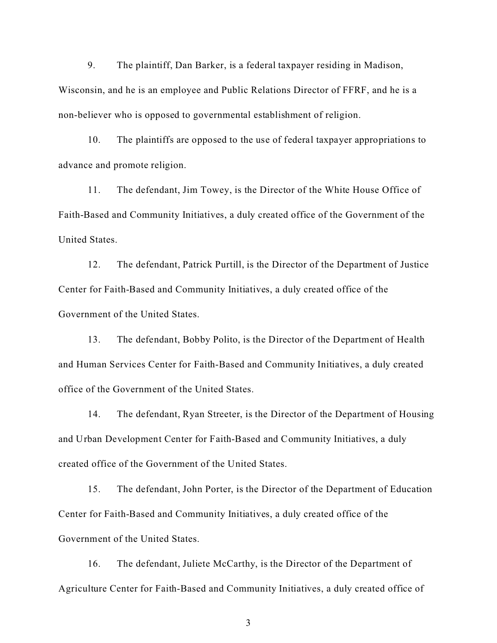9. The plaintiff, Dan Barker, is a federal taxpayer residing in Madison, Wisconsin, and he is an employee and Public Relations Director of FFRF, and he is a non-believer who is opposed to governmental establishment of religion.

10. The plaintiffs are opposed to the use of federal taxpayer appropriations to advance and promote religion.

11. The defendant, Jim Towey, is the Director of the White House Office of Faith-Based and Community Initiatives, a duly created office of the Government of the United States.

12. The defendant, Patrick Purtill, is the Director of the Department of Justice Center for Faith-Based and Community Initiatives, a duly created office of the Government of the United States.

13. The defendant, Bobby Polito, is the Director of the Department of Health and Human Services Center for Faith-Based and Community Initiatives, a duly created office of the Government of the United States.

14. The defendant, Ryan Streeter, is the Director of the Department of Housing and Urban Development Center for Faith-Based and Community Initiatives, a duly created office of the Government of the United States.

15. The defendant, John Porter, is the Director of the Department of Education Center for Faith-Based and Community Initiatives, a duly created office of the Government of the United States.

16. The defendant, Juliete McCarthy, is the Director of the Department of Agriculture Center for Faith-Based and Community Initiatives, a duly created office of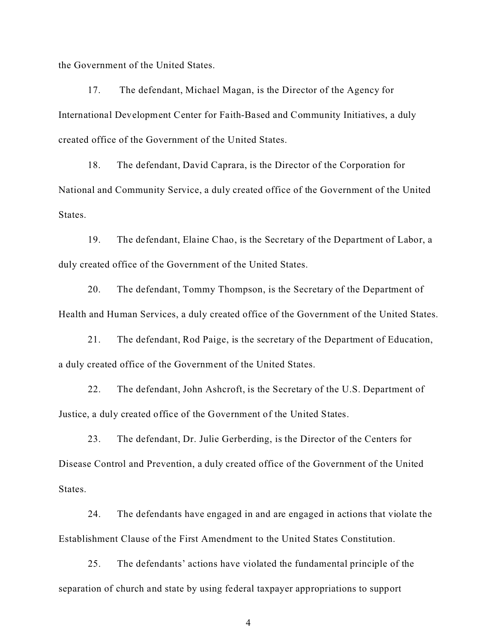the Government of the United States.

17. The defendant, Michael Magan, is the Director of the Agency for International Development Center for Faith-Based and Community Initiatives, a duly created office of the Government of the United States.

18. The defendant, David Caprara, is the Director of the Corporation for National and Community Service, a duly created office of the Government of the United States.

19. The defendant, Elaine Chao, is the Secretary of the Department of Labor, a duly created office of the Government of the United States.

20. The defendant, Tommy Thompson, is the Secretary of the Department of Health and Human Services, a duly created office of the Government of the United States.

21. The defendant, Rod Paige, is the secretary of the Department of Education, a duly created office of the Government of the United States.

22. The defendant, John Ashcroft, is the Secretary of the U.S. Department of Justice, a duly created office of the Government of the United States.

23. The defendant, Dr. Julie Gerberding, is the Director of the Centers for Disease Control and Prevention, a duly created office of the Government of the United States.

24. The defendants have engaged in and are engaged in actions that violate the Establishment Clause of the First Amendment to the United States Constitution.

25. The defendants' actions have violated the fundamental principle of the separation of church and state by using federal taxpayer appropriations to support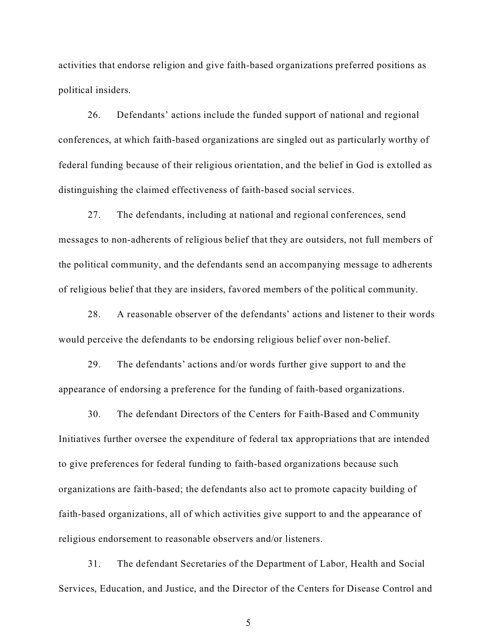activities that endorse religion and give faith-based organizations preferred positions as political insiders.

26. Defendants' actions include the funded support of national and regional conferences, at which faith-based organizations are singled out as particularly worthy of federal funding because of their religious orientation, and the belief in God is extolled as distinguishing the claimed effectiveness of faith-based social services.

27. The defendants, including at national and regional conferences, send messages to non-adherents of religious belief that they are outsiders, not full members of the political community, and the defendants send an accompanying message to adherents of religious belief that they are insiders, favored members of the political community.

28. A reasonable observer of the defendants' actions and listener to their words would perceive the defendants to be endorsing religious belief over non-belief.

29. The defendants' actions and/or words further give support to and the appearance of endorsing a preference for the funding of faith-based organizations.

30. The defendant Directors of the Centers for Faith-Based and Community Initiatives further oversee the expenditure of federal tax appropriations that are intended to give preferences for federal funding to faith-based organizations because such organizations are faith-based; the defendants also act to promote capacity building of faith-based organizations, all of which activities give support to and the appearance of religious endorsement to reasonable observers and/or listeners.

31. The defendant Secretaries of the Department of Labor, Health and Social Services, Education, and Justice, and the Director of the Centers for Disease Control and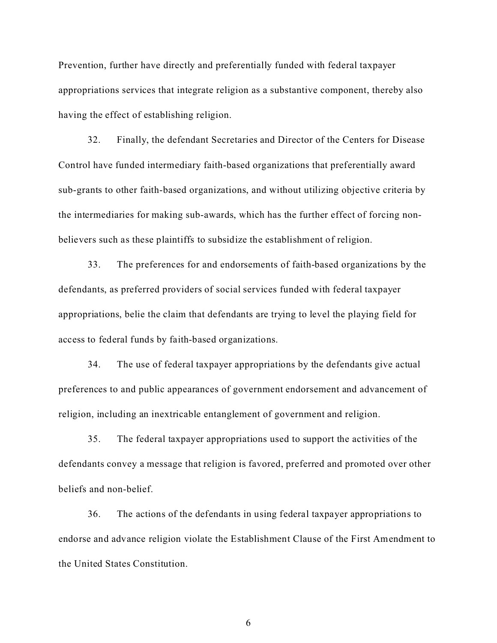Prevention, further have directly and preferentially funded with federal taxpayer appropriations services that integrate religion as a substantive component, thereby also having the effect of establishing religion.

32. Finally, the defendant Secretaries and Director of the Centers for Disease Control have funded intermediary faith-based organizations that preferentially award sub-grants to other faith-based organizations, and without utilizing objective criteria by the intermediaries for making sub-awards, which has the further effect of forcing nonbelievers such as these plaintiffs to subsidize the establishment of religion.

33. The preferences for and endorsements of faith-based organizations by the defendants, as preferred providers of social services funded with federal taxpayer appropriations, belie the claim that defendants are trying to level the playing field for access to federal funds by faith-based organizations.

34. The use of federal taxpayer appropriations by the defendants give actual preferences to and public appearances of government endorsement and advancement of religion, including an inextricable entanglement of government and religion.

35. The federal taxpayer appropriations used to support the activities of the defendants convey a message that religion is favored, preferred and promoted over other beliefs and non-belief.

36. The actions of the defendants in using federal taxpayer appropriations to endorse and advance religion violate the Establishment Clause of the First Amendment to the United States Constitution.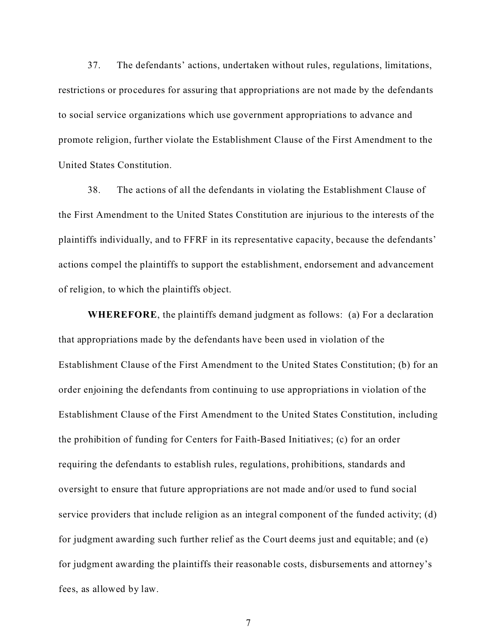37. The defendants' actions, undertaken without rules, regulations, limitations, restrictions or procedures for assuring that appropriations are not made by the defendants to social service organizations which use government appropriations to advance and promote religion, further violate the Establishment Clause of the First Amendment to the United States Constitution.

38. The actions of all the defendants in violating the Establishment Clause of the First Amendment to the United States Constitution are injurious to the interests of the plaintiffs individually, and to FFRF in its representative capacity, because the defendants' actions compel the plaintiffs to support the establishment, endorsement and advancement of religion, to which the plaintiffs object.

**WHEREFORE**, the plaintiffs demand judgment as follows: (a) For a declaration that appropriations made by the defendants have been used in violation of the Establishment Clause of the First Amendment to the United States Constitution; (b) for an order enjoining the defendants from continuing to use appropriations in violation of the Establishment Clause of the First Amendment to the United States Constitution, including the prohibition of funding for Centers for Faith-Based Initiatives; (c) for an order requiring the defendants to establish rules, regulations, prohibitions, standards and oversight to ensure that future appropriations are not made and/or used to fund social service providers that include religion as an integral component of the funded activity; (d) for judgment awarding such further relief as the Court deems just and equitable; and (e) for judgment awarding the plaintiffs their reasonable costs, disbursements and attorney's fees, as allowed by law.